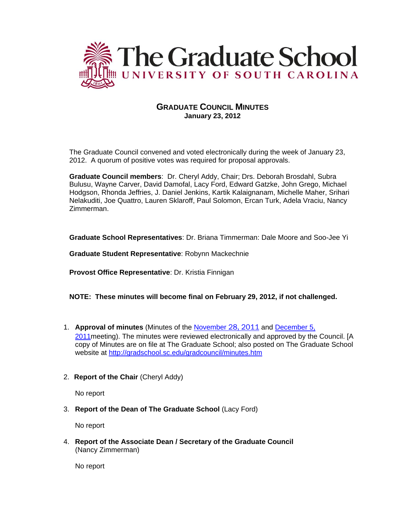

# **GRADUATE COUNCIL MINUTES January 23, 2012**

The Graduate Council convened and voted electronically during the week of January 23, 2012. A quorum of positive votes was required for proposal approvals.

**Graduate Council members**: Dr. Cheryl Addy, Chair; Drs. Deborah Brosdahl, Subra Bulusu, Wayne Carver, David Damofal, Lacy Ford, Edward Gatzke, John Grego, Michael Hodgson, Rhonda Jeffries, J. Daniel Jenkins, Kartik Kalaignanam, Michelle Maher, Srihari Nelakuditi, Joe Quattro, Lauren Sklaroff, Paul Solomon, Ercan Turk, Adela Vraciu, Nancy Zimmerman.

**Graduate School Representatives**: Dr. Briana Timmerman: Dale Moore and Soo-Jee Yi

**Graduate Student Representative**: Robynn Mackechnie

**Provost Office Representative**: Dr. Kristia Finnigan

#### **NOTE: These minutes will become final on February 29, 2012, if not challenged.**

- 1. **Approval of minutes** (Minutes of the [November](http://gradschool.sc.edu/gradcouncil/minutes/GCMinutes112811.pdf) 28, 2011 and [December](http://gradschool.sc.edu/gradcouncil/minutes/GCMinutes120511.pdf) 5, 2011 meeting). The minutes were reviewed electronically and approved by the Council. [A copy of Minutes are on file at The Graduate School; also posted on The Graduate School website at<http://gradschool.sc.edu/gradcouncil/minutes.htm>
- 2. **Report of the Chair** (Cheryl Addy)

No report

3. **Report of the Dean of The Graduate School** (Lacy Ford)

No report

4. **Report of the Associate Dean / Secretary of the Graduate Council** (Nancy Zimmerman)

No report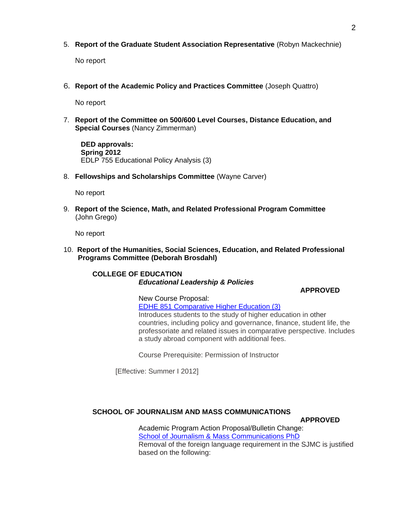## 5. **Report of the Graduate Student Association Representative** (Robyn Mackechnie)

No report

6. **Report of the Academic Policy and Practices Committee** (Joseph Quattro)

No report

7. **Report of the Committee on 500/600 Level Courses, Distance Education, and Special Courses** (Nancy Zimmerman)

**DED approvals: Spring 2012** EDLP 755 Educational Policy Analysis (3)

8. **Fellowships and Scholarships Committee** (Wayne Carver)

No report

9. **Report of the Science, Math, and Related Professional Program Committee** (John Grego)

No report

10. **Report of the Humanities, Social Sciences, Education, and Related Professional Programs Committee (Deborah Brosdahl)**

### **COLLEGE OF EDUCATION** *Educational Leadership & Policies*

#### **APPROVED**

New Course Proposal: [EDHE 851 Comparative Higher Education \(3\)](http://gradschool.sc.edu/gradcouncil/curr_docs/NCPEDHE851_201211.pdf) Introduces students to the study of higher education in other

countries, including policy and governance, finance, student life, the professoriate and related issues in comparative perspective. Includes a study abroad component with additional fees.

Course Prerequisite: Permission of Instructor

[Effective: Summer I 2012]

#### **SCHOOL OF JOURNALISM AND MASS COMMUNICATIONS**

**APPROVED**

Academic Program Action Proposal/Bulletin Change: [School of Journalism & Mass Communications PhD](http://gradschool.sc.edu/gradcouncil/curr_docs/APASJMCPHD_201211.pdf) Removal of the foreign language requirement in the SJMC is justified based on the following: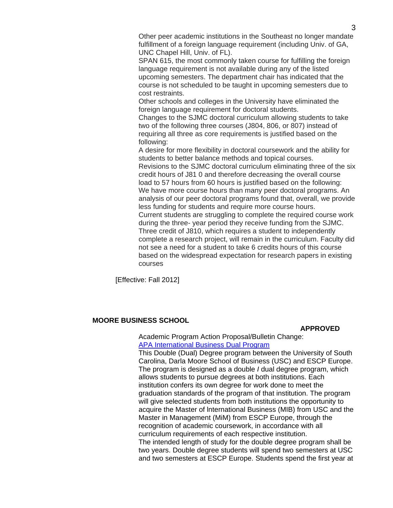Other peer academic institutions in the Southeast no longer mandate fulfillment of a foreign language requirement (including Univ. of GA, UNC Chapel Hill, Univ. of FL).

SPAN 615, the most commonly taken course for fulfilling the foreign language requirement is not available during any of the listed upcoming semesters. The department chair has indicated that the course is not scheduled to be taught in upcoming semesters due to cost restraints.

Other schools and colleges in the University have eliminated the foreign language requirement for doctoral students.

Changes to the SJMC doctoral curriculum allowing students to take two of the following three courses (J804, 806, or 807) instead of requiring all three as core requirements is justified based on the following:

A desire for more flexibility in doctoral coursework and the ability for students to better balance methods and topical courses. Revisions to the SJMC doctoral curriculum eliminating three of the six credit hours of J81 0 and therefore decreasing the overall course load to 57 hours from 60 hours is justified based on the following: We have more course hours than many peer doctoral programs. An analysis of our peer doctoral programs found that, overall, we provide less funding for students and require more course hours. Current students are struggling to complete the required course work during the three- year period they receive funding from the SJMC. Three credit of J810, which requires a student to independently complete a research project, will remain in the curriculum. Faculty did not see a need for a student to take 6 credits hours of this course based on the widespread expectation for research papers in existing courses

[Effective: Fall 2012]

#### **MOORE BUSINESS SCHOOL**

#### **APPROVED**

Academic Program Action Proposal/Bulletin Change: [APA International Business Dual Program](http://gradschool.sc.edu/gradcouncil/curr_docs/APAIMBADUALDEGREE_201211.pdf)

This Double (Dual) Degree program between the University of South Carolina, Darla Moore School of Business (USC) and ESCP Europe. The program is designed as a double *I* dual degree program, which allows students to pursue degrees at both institutions. Each institution confers its own degree for work done to meet the graduation standards of the program of that institution. The program will give selected students from both institutions the opportunity to acquire the Master of lnternational Business (MIB) from USC and the Master in Management (MiM) from ESCP Europe, through the recognition of academic coursework, in accordance with all curriculum requirements of each respective institution. The intended length of study for the double degree program shall be two years. Double degree students will spend two semesters at USC and two semesters at ESCP Europe. Students spend the first year at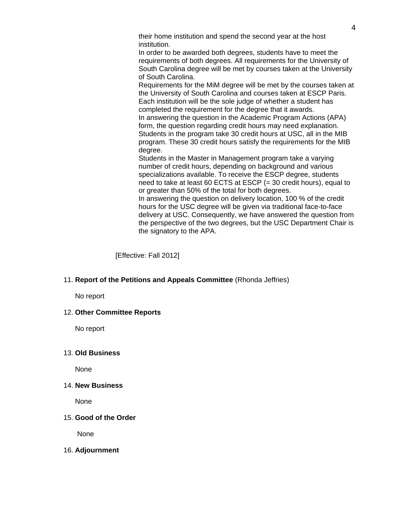their home institution and spend the second year at the host institution.

In order to be awarded both degrees, students have to meet the requirements of both degrees. All requirements for the University of South Carolina degree will be met by courses taken at the University of South Carolina.

Requirements for the MiM degree will be met by the courses taken at the University of South Carolina and courses taken at ESCP Paris. Each institution will be the sole judge of whether a student has completed the requirement for the degree that it awards. In answering the question in the Academic Program Actions (APA) form, the question regarding credit hours may need explanation. Students in the program take 30 credit hours at USC, all in the MIB program. These 30 credit hours satisfy the requirements for the MIB degree.

Students in the Master in Management program take a varying number of credit hours, depending on background and various specializations available. To receive the ESCP degree, students need to take at least 60 ECTS at ESCP (= 30 credit hours), equal to or greater than 50% of the total for both degrees.

In answering the question on delivery location, 100 % of the credit hours for the USC degree will be given via traditional face-to-face delivery at USC. Consequently, we have answered the question from the perspective of the two degrees, but the USC Department Chair is the signatory to the APA.

[Effective: Fall 2012]

## 11. **Report of the Petitions and Appeals Committee** (Rhonda Jeffries)

No report

## 12. **Other Committee Reports**

No report

## 13. **Old Business**

None

### 14. **New Business**

None

#### 15. **Good of the Order**

None

#### 16. **Adjournment**